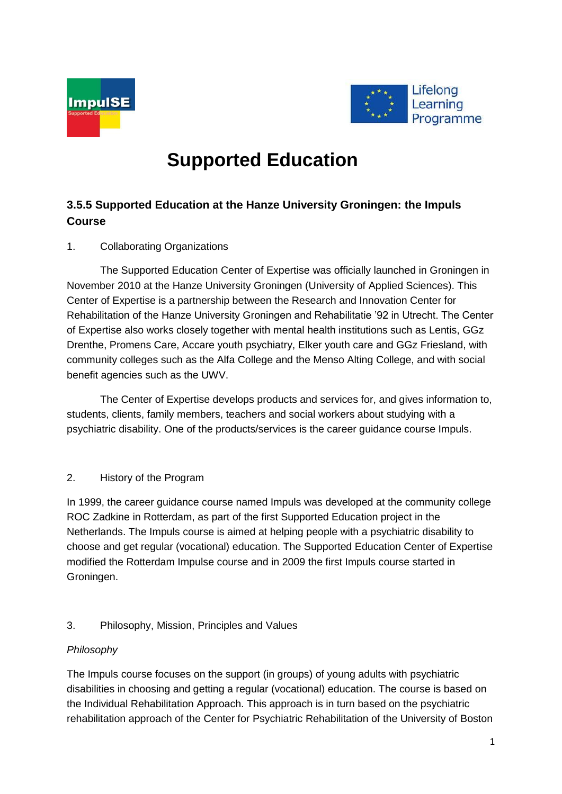



# **Supported Education**

# **3.5.5 Supported Education at the Hanze University Groningen: the Impuls Course**

# 1. Collaborating Organizations

The Supported Education Center of Expertise was officially launched in Groningen in November 2010 at the Hanze University Groningen (University of Applied Sciences). This Center of Expertise is a partnership between the Research and Innovation Center for Rehabilitation of the Hanze University Groningen and Rehabilitatie '92 in Utrecht. The Center of Expertise also works closely together with mental health institutions such as Lentis, GGz Drenthe, Promens Care, Accare youth psychiatry, Elker youth care and GGz Friesland, with community colleges such as the Alfa College and the Menso Alting College, and with social benefit agencies such as the UWV.

The Center of Expertise develops products and services for, and gives information to, students, clients, family members, teachers and social workers about studying with a psychiatric disability. One of the products/services is the career guidance course Impuls.

## 2. History of the Program

In 1999, the career guidance course named Impuls was developed at the community college ROC Zadkine in Rotterdam, as part of the first Supported Education project in the Netherlands. The Impuls course is aimed at helping people with a psychiatric disability to choose and get regular (vocational) education. The Supported Education Center of Expertise modified the Rotterdam Impulse course and in 2009 the first Impuls course started in Groningen.

# 3. Philosophy, Mission, Principles and Values

## *Philosophy*

The Impuls course focuses on the support (in groups) of young adults with psychiatric disabilities in choosing and getting a regular (vocational) education. The course is based on the Individual Rehabilitation Approach. This approach is in turn based on the psychiatric rehabilitation approach of the Center for Psychiatric Rehabilitation of the University of Boston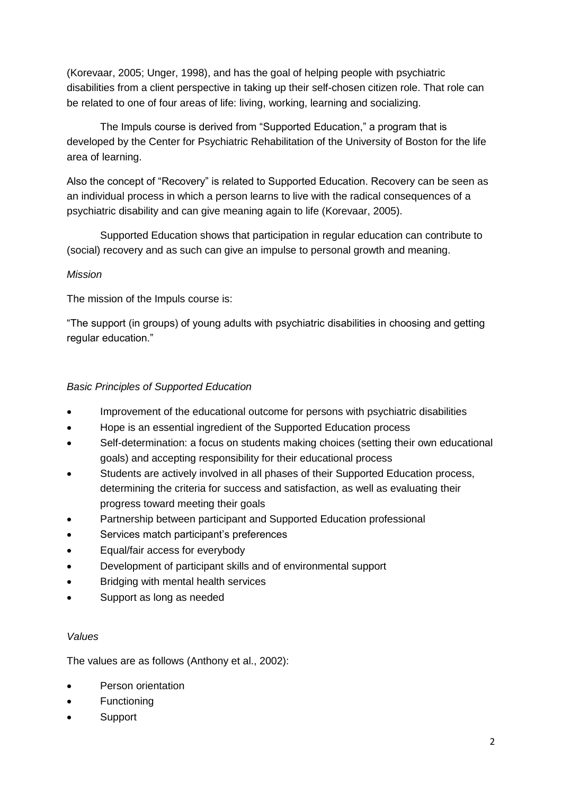(Korevaar, 2005; Unger, 1998), and has the goal of helping people with psychiatric disabilities from a client perspective in taking up their self-chosen citizen role. That role can be related to one of four areas of life: living, working, learning and socializing.

The Impuls course is derived from "Supported Education," a program that is developed by the Center for Psychiatric Rehabilitation of the University of Boston for the life area of learning.

Also the concept of "Recovery" is related to Supported Education. Recovery can be seen as an individual process in which a person learns to live with the radical consequences of a psychiatric disability and can give meaning again to life (Korevaar, 2005).

Supported Education shows that participation in regular education can contribute to (social) recovery and as such can give an impulse to personal growth and meaning.

# *Mission*

The mission of the Impuls course is:

"The support (in groups) of young adults with psychiatric disabilities in choosing and getting regular education."

# *Basic Principles of Supported Education*

- Improvement of the educational outcome for persons with psychiatric disabilities
- Hope is an essential ingredient of the Supported Education process
- Self-determination: a focus on students making choices (setting their own educational goals) and accepting responsibility for their educational process
- Students are actively involved in all phases of their Supported Education process, determining the criteria for success and satisfaction, as well as evaluating their progress toward meeting their goals
- Partnership between participant and Supported Education professional
- Services match participant's preferences
- Equal/fair access for everybody
- Development of participant skills and of environmental support
- Bridging with mental health services
- Support as long as needed

## *Values*

The values are as follows (Anthony et al., 2002):

- Person orientation
- Functioning
- Support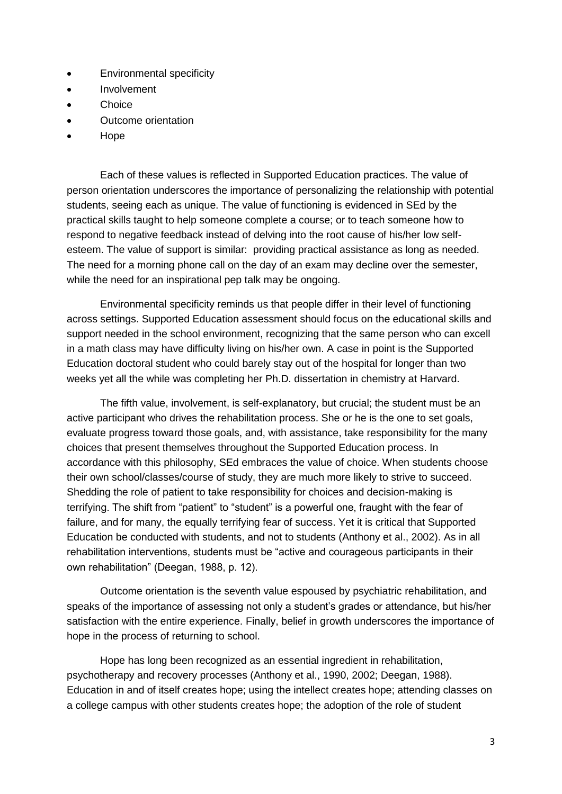- Environmental specificity
- Involvement
- Choice
- Outcome orientation
- Hope

Each of these values is reflected in Supported Education practices. The value of person orientation underscores the importance of personalizing the relationship with potential students, seeing each as unique. The value of functioning is evidenced in SEd by the practical skills taught to help someone complete a course; or to teach someone how to respond to negative feedback instead of delving into the root cause of his/her low selfesteem. The value of support is similar: providing practical assistance as long as needed. The need for a morning phone call on the day of an exam may decline over the semester, while the need for an inspirational pep talk may be ongoing.

Environmental specificity reminds us that people differ in their level of functioning across settings. Supported Education assessment should focus on the educational skills and support needed in the school environment, recognizing that the same person who can excell in a math class may have difficulty living on his/her own. A case in point is the Supported Education doctoral student who could barely stay out of the hospital for longer than two weeks yet all the while was completing her Ph.D. dissertation in chemistry at Harvard.

The fifth value, involvement, is self-explanatory, but crucial; the student must be an active participant who drives the rehabilitation process. She or he is the one to set goals, evaluate progress toward those goals, and, with assistance, take responsibility for the many choices that present themselves throughout the Supported Education process. In accordance with this philosophy, SEd embraces the value of choice. When students choose their own school/classes/course of study, they are much more likely to strive to succeed. Shedding the role of patient to take responsibility for choices and decision-making is terrifying. The shift from "patient" to "student" is a powerful one, fraught with the fear of failure, and for many, the equally terrifying fear of success. Yet it is critical that Supported Education be conducted with students, and not to students (Anthony et al., 2002). As in all rehabilitation interventions, students must be "active and courageous participants in their own rehabilitation" (Deegan, 1988, p. 12).

Outcome orientation is the seventh value espoused by psychiatric rehabilitation, and speaks of the importance of assessing not only a student's grades or attendance, but his/her satisfaction with the entire experience. Finally, belief in growth underscores the importance of hope in the process of returning to school.

Hope has long been recognized as an essential ingredient in rehabilitation, psychotherapy and recovery processes (Anthony et al., 1990, 2002; Deegan, 1988). Education in and of itself creates hope; using the intellect creates hope; attending classes on a college campus with other students creates hope; the adoption of the role of student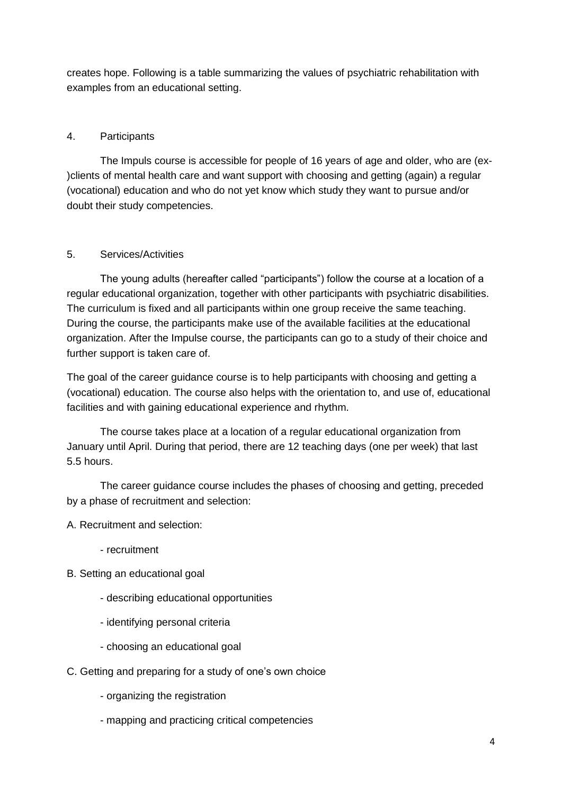creates hope. Following is a table summarizing the values of psychiatric rehabilitation with examples from an educational setting.

## 4. Participants

The Impuls course is accessible for people of 16 years of age and older, who are (ex- )clients of mental health care and want support with choosing and getting (again) a regular (vocational) education and who do not yet know which study they want to pursue and/or doubt their study competencies.

#### 5. Services/Activities

The young adults (hereafter called "participants") follow the course at a location of a regular educational organization, together with other participants with psychiatric disabilities. The curriculum is fixed and all participants within one group receive the same teaching. During the course, the participants make use of the available facilities at the educational organization. After the Impulse course, the participants can go to a study of their choice and further support is taken care of.

The goal of the career guidance course is to help participants with choosing and getting a (vocational) education. The course also helps with the orientation to, and use of, educational facilities and with gaining educational experience and rhythm.

The course takes place at a location of a regular educational organization from January until April. During that period, there are 12 teaching days (one per week) that last 5.5 hours.

The career guidance course includes the phases of choosing and getting, preceded by a phase of recruitment and selection:

A. Recruitment and selection:

- recruitment
- B. Setting an educational goal
	- describing educational opportunities
	- identifying personal criteria
	- choosing an educational goal
- C. Getting and preparing for a study of one's own choice
	- organizing the registration
	- mapping and practicing critical competencies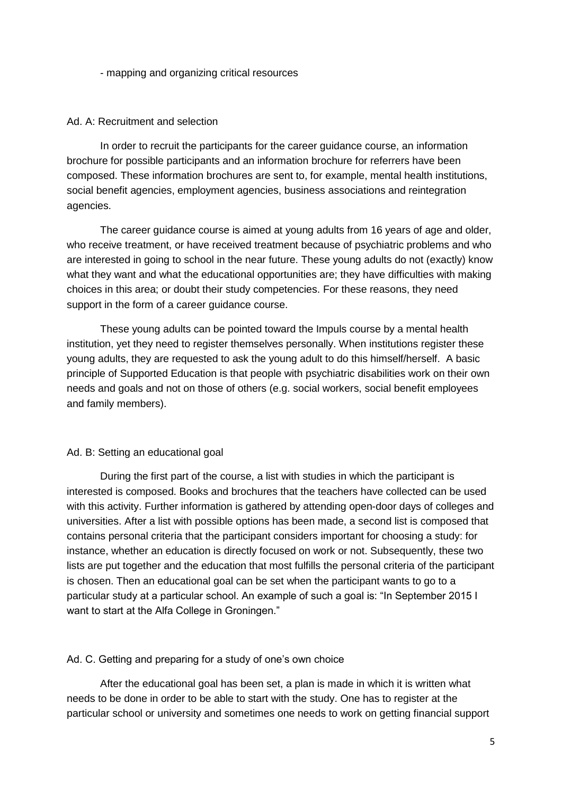- mapping and organizing critical resources

#### Ad. A: Recruitment and selection

In order to recruit the participants for the career guidance course, an information brochure for possible participants and an information brochure for referrers have been composed. These information brochures are sent to, for example, mental health institutions, social benefit agencies, employment agencies, business associations and reintegration agencies.

The career guidance course is aimed at young adults from 16 years of age and older, who receive treatment, or have received treatment because of psychiatric problems and who are interested in going to school in the near future. These young adults do not (exactly) know what they want and what the educational opportunities are; they have difficulties with making choices in this area; or doubt their study competencies. For these reasons, they need support in the form of a career guidance course.

These young adults can be pointed toward the Impuls course by a mental health institution, yet they need to register themselves personally. When institutions register these young adults, they are requested to ask the young adult to do this himself/herself. A basic principle of Supported Education is that people with psychiatric disabilities work on their own needs and goals and not on those of others (e.g. social workers, social benefit employees and family members).

#### Ad. B: Setting an educational goal

During the first part of the course, a list with studies in which the participant is interested is composed. Books and brochures that the teachers have collected can be used with this activity. Further information is gathered by attending open-door days of colleges and universities. After a list with possible options has been made, a second list is composed that contains personal criteria that the participant considers important for choosing a study: for instance, whether an education is directly focused on work or not. Subsequently, these two lists are put together and the education that most fulfills the personal criteria of the participant is chosen. Then an educational goal can be set when the participant wants to go to a particular study at a particular school. An example of such a goal is: "In September 2015 I want to start at the Alfa College in Groningen."

#### Ad. C. Getting and preparing for a study of one's own choice

After the educational goal has been set, a plan is made in which it is written what needs to be done in order to be able to start with the study. One has to register at the particular school or university and sometimes one needs to work on getting financial support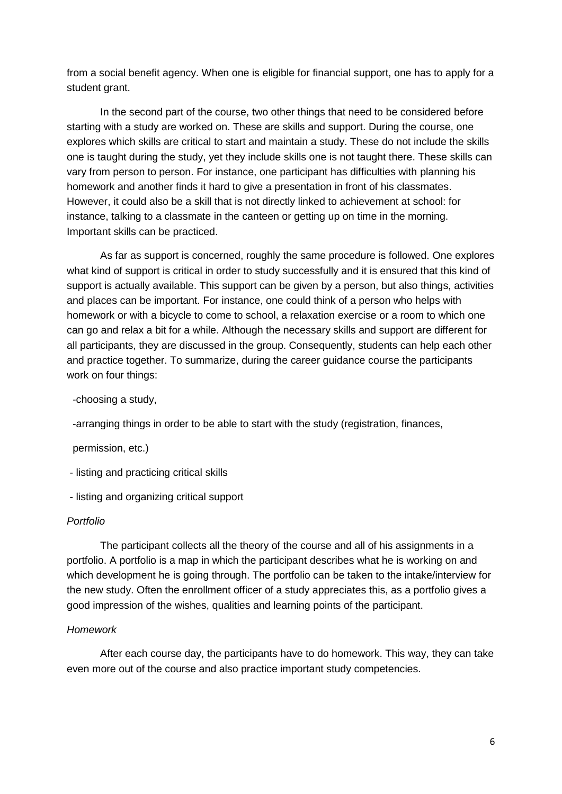from a social benefit agency. When one is eligible for financial support, one has to apply for a student grant.

In the second part of the course, two other things that need to be considered before starting with a study are worked on. These are skills and support. During the course, one explores which skills are critical to start and maintain a study. These do not include the skills one is taught during the study, yet they include skills one is not taught there. These skills can vary from person to person. For instance, one participant has difficulties with planning his homework and another finds it hard to give a presentation in front of his classmates. However, it could also be a skill that is not directly linked to achievement at school: for instance, talking to a classmate in the canteen or getting up on time in the morning. Important skills can be practiced.

As far as support is concerned, roughly the same procedure is followed. One explores what kind of support is critical in order to study successfully and it is ensured that this kind of support is actually available. This support can be given by a person, but also things, activities and places can be important. For instance, one could think of a person who helps with homework or with a bicycle to come to school, a relaxation exercise or a room to which one can go and relax a bit for a while. Although the necessary skills and support are different for all participants, they are discussed in the group. Consequently, students can help each other and practice together. To summarize, during the career guidance course the participants work on four things:

-choosing a study,

-arranging things in order to be able to start with the study (registration, finances,

permission, etc.)

- listing and practicing critical skills

- listing and organizing critical support

#### *Portfolio*

The participant collects all the theory of the course and all of his assignments in a portfolio. A portfolio is a map in which the participant describes what he is working on and which development he is going through. The portfolio can be taken to the intake/interview for the new study. Often the enrollment officer of a study appreciates this, as a portfolio gives a good impression of the wishes, qualities and learning points of the participant.

#### *Homework*

After each course day, the participants have to do homework. This way, they can take even more out of the course and also practice important study competencies.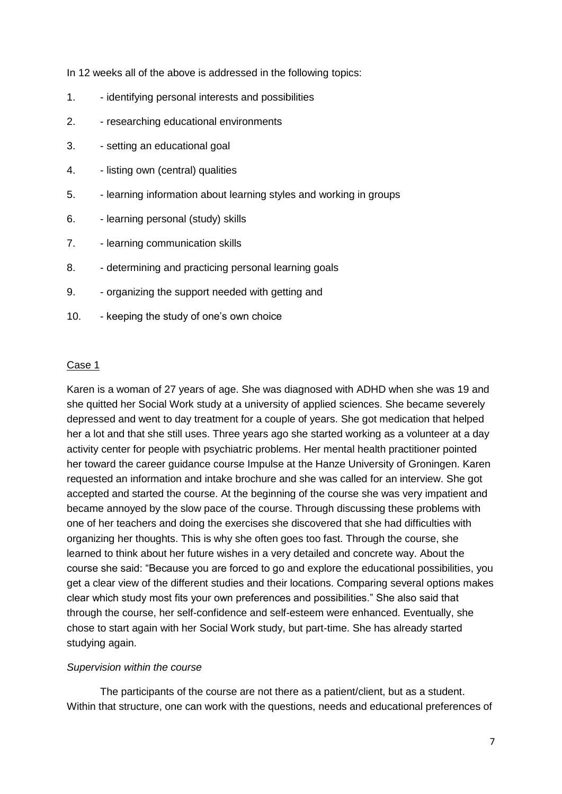In 12 weeks all of the above is addressed in the following topics:

- 1. identifying personal interests and possibilities
- 2. researching educational environments
- 3. setting an educational goal
- 4. listing own (central) qualities
- 5. learning information about learning styles and working in groups
- 6. learning personal (study) skills
- 7. learning communication skills
- 8. determining and practicing personal learning goals
- 9. organizing the support needed with getting and
- 10. keeping the study of one's own choice

#### Case 1

Karen is a woman of 27 years of age. She was diagnosed with ADHD when she was 19 and she quitted her Social Work study at a university of applied sciences. She became severely depressed and went to day treatment for a couple of years. She got medication that helped her a lot and that she still uses. Three years ago she started working as a volunteer at a day activity center for people with psychiatric problems. Her mental health practitioner pointed her toward the career guidance course Impulse at the Hanze University of Groningen. Karen requested an information and intake brochure and she was called for an interview. She got accepted and started the course. At the beginning of the course she was very impatient and became annoyed by the slow pace of the course. Through discussing these problems with one of her teachers and doing the exercises she discovered that she had difficulties with organizing her thoughts. This is why she often goes too fast. Through the course, she learned to think about her future wishes in a very detailed and concrete way. About the course she said: "Because you are forced to go and explore the educational possibilities, you get a clear view of the different studies and their locations. Comparing several options makes clear which study most fits your own preferences and possibilities." She also said that through the course, her self-confidence and self-esteem were enhanced. Eventually, she chose to start again with her Social Work study, but part-time. She has already started studying again.

#### *Supervision within the course*

The participants of the course are not there as a patient/client, but as a student. Within that structure, one can work with the questions, needs and educational preferences of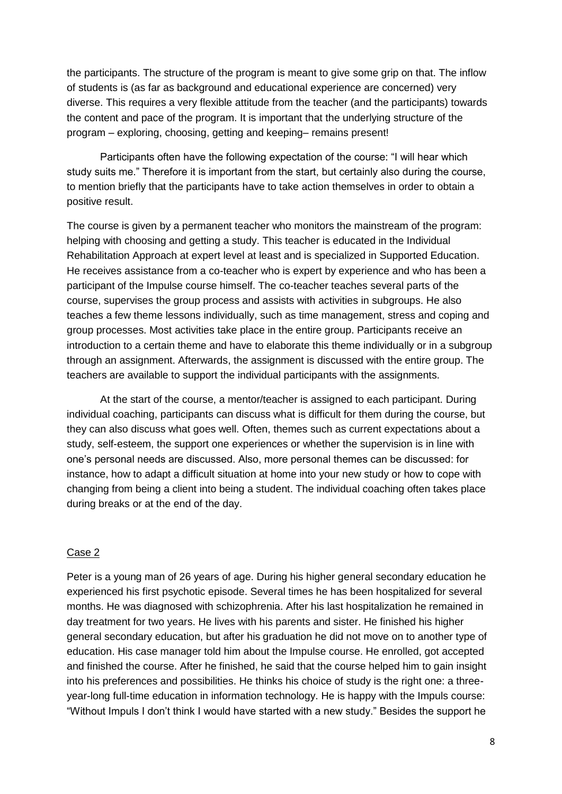the participants. The structure of the program is meant to give some grip on that. The inflow of students is (as far as background and educational experience are concerned) very diverse. This requires a very flexible attitude from the teacher (and the participants) towards the content and pace of the program. It is important that the underlying structure of the program – exploring, choosing, getting and keeping– remains present!

Participants often have the following expectation of the course: "I will hear which study suits me." Therefore it is important from the start, but certainly also during the course, to mention briefly that the participants have to take action themselves in order to obtain a positive result.

The course is given by a permanent teacher who monitors the mainstream of the program: helping with choosing and getting a study. This teacher is educated in the Individual Rehabilitation Approach at expert level at least and is specialized in Supported Education. He receives assistance from a co-teacher who is expert by experience and who has been a participant of the Impulse course himself. The co-teacher teaches several parts of the course, supervises the group process and assists with activities in subgroups. He also teaches a few theme lessons individually, such as time management, stress and coping and group processes. Most activities take place in the entire group. Participants receive an introduction to a certain theme and have to elaborate this theme individually or in a subgroup through an assignment. Afterwards, the assignment is discussed with the entire group. The teachers are available to support the individual participants with the assignments.

At the start of the course, a mentor/teacher is assigned to each participant. During individual coaching, participants can discuss what is difficult for them during the course, but they can also discuss what goes well. Often, themes such as current expectations about a study, self-esteem, the support one experiences or whether the supervision is in line with one's personal needs are discussed. Also, more personal themes can be discussed: for instance, how to adapt a difficult situation at home into your new study or how to cope with changing from being a client into being a student. The individual coaching often takes place during breaks or at the end of the day.

#### Case 2

Peter is a young man of 26 years of age. During his higher general secondary education he experienced his first psychotic episode. Several times he has been hospitalized for several months. He was diagnosed with schizophrenia. After his last hospitalization he remained in day treatment for two years. He lives with his parents and sister. He finished his higher general secondary education, but after his graduation he did not move on to another type of education. His case manager told him about the Impulse course. He enrolled, got accepted and finished the course. After he finished, he said that the course helped him to gain insight into his preferences and possibilities. He thinks his choice of study is the right one: a threeyear-long full-time education in information technology. He is happy with the Impuls course: "Without Impuls I don't think I would have started with a new study." Besides the support he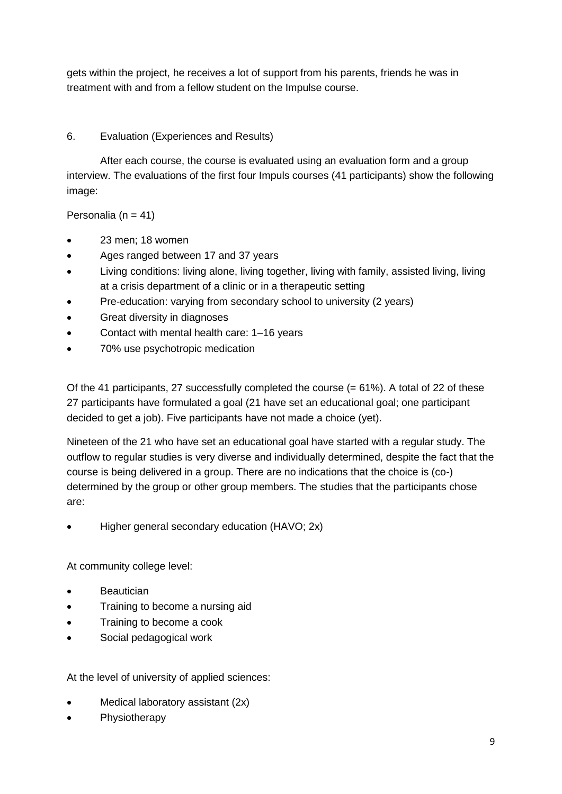gets within the project, he receives a lot of support from his parents, friends he was in treatment with and from a fellow student on the Impulse course.

# 6. Evaluation (Experiences and Results)

After each course, the course is evaluated using an evaluation form and a group interview. The evaluations of the first four Impuls courses (41 participants) show the following image:

Personalia ( $n = 41$ )

- 23 men; 18 women
- Ages ranged between 17 and 37 years
- Living conditions: living alone, living together, living with family, assisted living, living at a crisis department of a clinic or in a therapeutic setting
- Pre-education: varying from secondary school to university (2 years)
- **•** Great diversity in diagnoses
- Contact with mental health care: 1–16 years
- 70% use psychotropic medication

Of the 41 participants, 27 successfully completed the course (= 61%). A total of 22 of these 27 participants have formulated a goal (21 have set an educational goal; one participant decided to get a job). Five participants have not made a choice (yet).

Nineteen of the 21 who have set an educational goal have started with a regular study. The outflow to regular studies is very diverse and individually determined, despite the fact that the course is being delivered in a group. There are no indications that the choice is (co-) determined by the group or other group members. The studies that the participants chose are:

Higher general secondary education (HAVO; 2x)

At community college level:

- Beautician
- Training to become a nursing aid
- Training to become a cook
- Social pedagogical work

At the level of university of applied sciences:

- Medical laboratory assistant (2x)
- **Physiotherapy**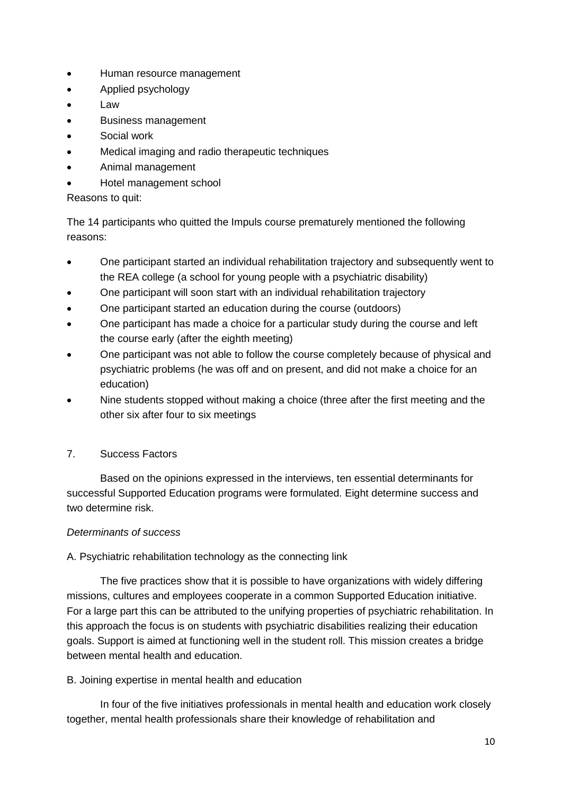- Human resource management
- Applied psychology
- Law
- Business management
- Social work
- Medical imaging and radio therapeutic techniques
- Animal management
- Hotel management school

# Reasons to quit:

The 14 participants who quitted the Impuls course prematurely mentioned the following reasons:

- One participant started an individual rehabilitation trajectory and subsequently went to the REA college (a school for young people with a psychiatric disability)
- One participant will soon start with an individual rehabilitation trajectory
- One participant started an education during the course (outdoors)
- One participant has made a choice for a particular study during the course and left the course early (after the eighth meeting)
- One participant was not able to follow the course completely because of physical and psychiatric problems (he was off and on present, and did not make a choice for an education)
- Nine students stopped without making a choice (three after the first meeting and the other six after four to six meetings

# 7. Success Factors

Based on the opinions expressed in the interviews, ten essential determinants for successful Supported Education programs were formulated. Eight determine success and two determine risk.

# *Determinants of success*

# A. Psychiatric rehabilitation technology as the connecting link

The five practices show that it is possible to have organizations with widely differing missions, cultures and employees cooperate in a common Supported Education initiative. For a large part this can be attributed to the unifying properties of psychiatric rehabilitation. In this approach the focus is on students with psychiatric disabilities realizing their education goals. Support is aimed at functioning well in the student roll. This mission creates a bridge between mental health and education.

# B. Joining expertise in mental health and education

In four of the five initiatives professionals in mental health and education work closely together, mental health professionals share their knowledge of rehabilitation and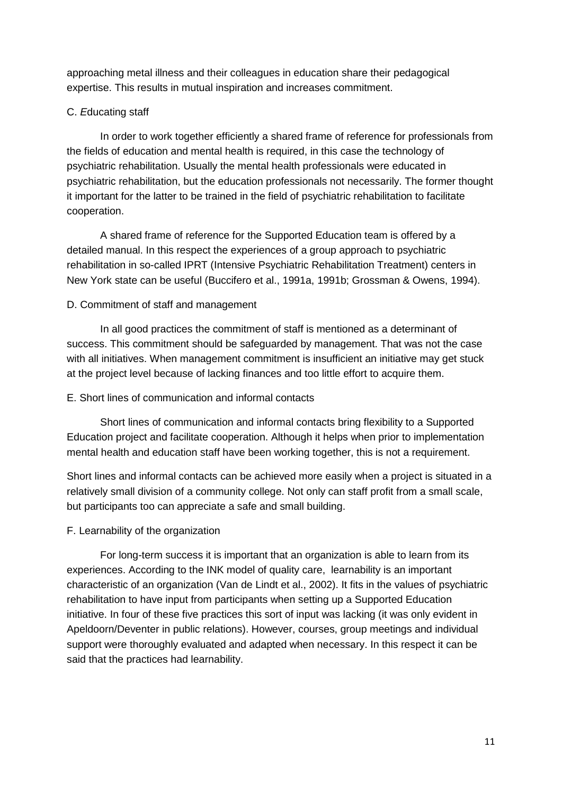approaching metal illness and their colleagues in education share their pedagogical expertise. This results in mutual inspiration and increases commitment.

# C. *E*ducating staff

In order to work together efficiently a shared frame of reference for professionals from the fields of education and mental health is required, in this case the technology of psychiatric rehabilitation. Usually the mental health professionals were educated in psychiatric rehabilitation, but the education professionals not necessarily. The former thought it important for the latter to be trained in the field of psychiatric rehabilitation to facilitate cooperation.

A shared frame of reference for the Supported Education team is offered by a detailed manual. In this respect the experiences of a group approach to psychiatric rehabilitation in so-called IPRT (Intensive Psychiatric Rehabilitation Treatment) centers in New York state can be useful (Buccifero et al., 1991a, 1991b; Grossman & Owens, 1994).

# D. Commitment of staff and management

In all good practices the commitment of staff is mentioned as a determinant of success. This commitment should be safeguarded by management. That was not the case with all initiatives. When management commitment is insufficient an initiative may get stuck at the project level because of lacking finances and too little effort to acquire them.

## E. Short lines of communication and informal contacts

Short lines of communication and informal contacts bring flexibility to a Supported Education project and facilitate cooperation. Although it helps when prior to implementation mental health and education staff have been working together, this is not a requirement.

Short lines and informal contacts can be achieved more easily when a project is situated in a relatively small division of a community college. Not only can staff profit from a small scale, but participants too can appreciate a safe and small building.

## F. Learnability of the organization

For long-term success it is important that an organization is able to learn from its experiences. According to the INK model of quality care, learnability is an important characteristic of an organization (Van de Lindt et al., 2002). It fits in the values of psychiatric rehabilitation to have input from participants when setting up a Supported Education initiative. In four of these five practices this sort of input was lacking (it was only evident in Apeldoorn/Deventer in public relations). However, courses, group meetings and individual support were thoroughly evaluated and adapted when necessary. In this respect it can be said that the practices had learnability.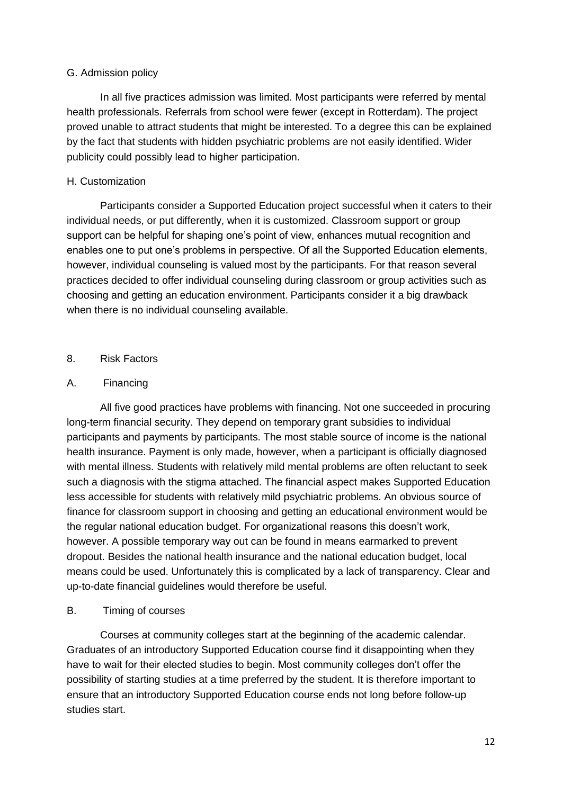#### G. Admission policy

In all five practices admission was limited. Most participants were referred by mental health professionals. Referrals from school were fewer (except in Rotterdam). The project proved unable to attract students that might be interested. To a degree this can be explained by the fact that students with hidden psychiatric problems are not easily identified. Wider publicity could possibly lead to higher participation.

# H. Customization

Participants consider a Supported Education project successful when it caters to their individual needs, or put differently, when it is customized. Classroom support or group support can be helpful for shaping one's point of view, enhances mutual recognition and enables one to put one's problems in perspective. Of all the Supported Education elements, however, individual counseling is valued most by the participants. For that reason several practices decided to offer individual counseling during classroom or group activities such as choosing and getting an education environment. Participants consider it a big drawback when there is no individual counseling available.

## 8. Risk Factors

# A. Financing

All five good practices have problems with financing. Not one succeeded in procuring long-term financial security. They depend on temporary grant subsidies to individual participants and payments by participants. The most stable source of income is the national health insurance. Payment is only made, however, when a participant is officially diagnosed with mental illness. Students with relatively mild mental problems are often reluctant to seek such a diagnosis with the stigma attached. The financial aspect makes Supported Education less accessible for students with relatively mild psychiatric problems. An obvious source of finance for classroom support in choosing and getting an educational environment would be the regular national education budget. For organizational reasons this doesn't work, however. A possible temporary way out can be found in means earmarked to prevent dropout. Besides the national health insurance and the national education budget, local means could be used. Unfortunately this is complicated by a lack of transparency. Clear and up-to-date financial guidelines would therefore be useful.

## B. Timing of courses

Courses at community colleges start at the beginning of the academic calendar. Graduates of an introductory Supported Education course find it disappointing when they have to wait for their elected studies to begin. Most community colleges don't offer the possibility of starting studies at a time preferred by the student. It is therefore important to ensure that an introductory Supported Education course ends not long before follow-up studies start.